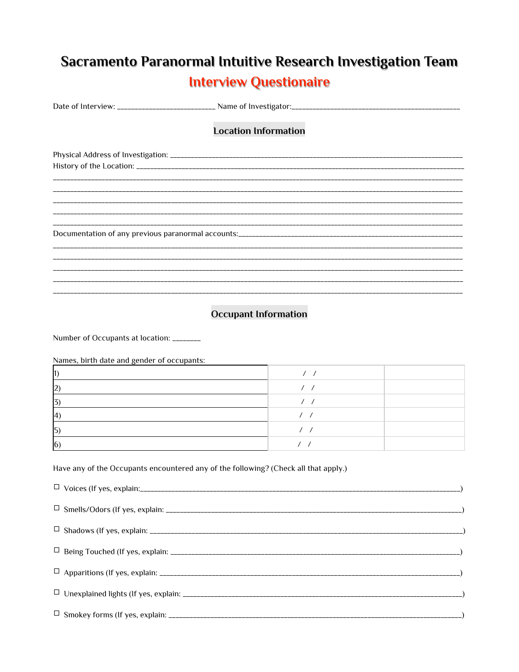## Sacramento Paranormal Intuitive Research Investigation Team **Interview Questionaire**

|  | <b>Location Information</b> |  |
|--|-----------------------------|--|
|  |                             |  |
|  |                             |  |
|  |                             |  |
|  |                             |  |
|  |                             |  |
|  |                             |  |
|  |                             |  |
|  |                             |  |
|  |                             |  |
|  |                             |  |
|  |                             |  |
|  |                             |  |

## **Occupant Information**

Number of Occupants at location: \_\_\_\_\_\_\_\_

Names, birth date and gender of occupants:

| I U |  |
|-----|--|

## Have any of the Occupants encountered any of the following? (Check all that apply.)